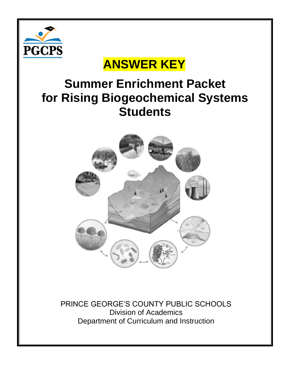

## **ANSWER KEY**

## **Summer Enrichment Packet for Rising Biogeochemical Systems Students**



PRINCE GEORGE'S COUNTY PUBLIC SCHOOLS Division of Academics Department of Curriculum and Instruction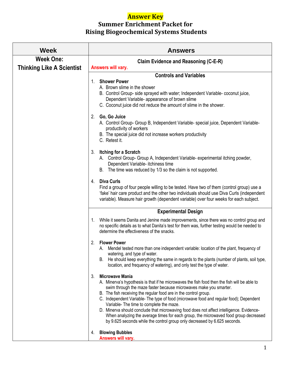## **Answer Key**

## **Summer Enrichment Packet for Rising Biogeochemical Systems Students**

| <b>Week</b>                      | <b>Answers</b>                                                                                                                                                                                                                                                                                                                                                                                                                                                                                                                                                                                                                                                               |
|----------------------------------|------------------------------------------------------------------------------------------------------------------------------------------------------------------------------------------------------------------------------------------------------------------------------------------------------------------------------------------------------------------------------------------------------------------------------------------------------------------------------------------------------------------------------------------------------------------------------------------------------------------------------------------------------------------------------|
| <b>Week One:</b>                 | Claim Evidence and Reasoning (C-E-R)                                                                                                                                                                                                                                                                                                                                                                                                                                                                                                                                                                                                                                         |
| <b>Thinking Like A Scientist</b> | Answers will vary.                                                                                                                                                                                                                                                                                                                                                                                                                                                                                                                                                                                                                                                           |
|                                  | <b>Controls and Variables</b>                                                                                                                                                                                                                                                                                                                                                                                                                                                                                                                                                                                                                                                |
|                                  | <b>Shower Power</b><br>1.<br>A. Brown slime in the shower<br>B. Control Group- side sprayed with water; Independent Variable- coconut juice,<br>Dependent Variable- appearance of brown slime<br>C. Coconut juice did not reduce the amount of slime in the shower.                                                                                                                                                                                                                                                                                                                                                                                                          |
|                                  | 2. Go, Go Juice<br>A. Control Group- Group B, Independent Variable- special juice, Dependent Variable-<br>productivity of workers<br>B. The special juice did not increase workers productivity<br>C. Retest it.                                                                                                                                                                                                                                                                                                                                                                                                                                                             |
|                                  | 3. Itching for a Scratch<br>A. Control Group- Group A, Independent Variable- experimental itching powder,<br>Dependent Variable- itchiness time<br>B. The time was reduced by 1/3 so the claim is not supported.                                                                                                                                                                                                                                                                                                                                                                                                                                                             |
|                                  | <b>Diva Curls</b><br>4.<br>Find a group of four people willing to be tested. Have two of them (control group) use a<br>'fake' hair care product and the other two individuals should use Diva Curls (independent<br>variable). Measure hair growth (dependent variable) over four weeks for each subject.                                                                                                                                                                                                                                                                                                                                                                    |
|                                  | <b>Experimental Design</b>                                                                                                                                                                                                                                                                                                                                                                                                                                                                                                                                                                                                                                                   |
|                                  | 1. While it seems Danita and Jenine made improvements, since there was no control group and<br>no specific details as to what Danita's test for them was, further testing would be needed to<br>determine the effectiveness of the snacks.                                                                                                                                                                                                                                                                                                                                                                                                                                   |
|                                  | <b>Flower Power</b><br>2.<br>A. Mendel tested more than one independent variable: location of the plant, frequency of<br>watering, and type of water.<br>He should keep everything the same in regards to the plants (number of plants, soil type,<br>В.<br>location, and frequency of watering), and only test the type of water.                                                                                                                                                                                                                                                                                                                                           |
|                                  | <b>Microwave Mania</b><br>3.<br>A. Minerva's hypothesis is that if he microwaves the fish food then the fish will be able to<br>swim through the maze faster because microwaves make you smarter.<br>B. The fish receiving the regular food are in the control group.<br>C. Independent Variable- The type of food (microwave food and regular food); Dependent<br>Variable- The time to complete the maze.<br>D. Minerva should conclude that microwaving food does not affect intelligence. Evidence-<br>When analyzing the average times for each group, the microwaved food group decreased<br>by 9.625 seconds while the control group only decreased by 6.625 seconds. |
|                                  | <b>Blowing Bubbles</b><br>4.<br>Answers will vary.                                                                                                                                                                                                                                                                                                                                                                                                                                                                                                                                                                                                                           |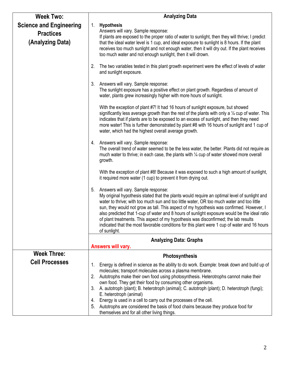| <b>Week Two:</b>                                                       | <b>Analyzing Data</b>                                                                                                                                                                                                                                                                                                                                                                                                                                                                                                                                                                                                                     |
|------------------------------------------------------------------------|-------------------------------------------------------------------------------------------------------------------------------------------------------------------------------------------------------------------------------------------------------------------------------------------------------------------------------------------------------------------------------------------------------------------------------------------------------------------------------------------------------------------------------------------------------------------------------------------------------------------------------------------|
| <b>Science and Engineering</b><br><b>Practices</b><br>(Analyzing Data) | 1.<br><b>Hypothesis</b><br>Answers will vary. Sample response:<br>If plants are exposed to the proper ratio of water to sunlight, then they will thrive; I predict<br>that the ideal water level is 1 cup, and ideal exposure to sunlight is 8 hours. If the plant<br>receives too much sunlight and not enough water, then it will dry out. If the plant receives<br>too much water and not enough sunlight, then it will drown.                                                                                                                                                                                                         |
|                                                                        | The two variables tested in this plant growth experiment were the effect of levels of water<br>2.<br>and sunlight exposure.                                                                                                                                                                                                                                                                                                                                                                                                                                                                                                               |
|                                                                        | 3.<br>Answers will vary. Sample response:<br>The sunlight exposure has a positive effect on plant growth. Regardless of amount of<br>water, plants grew increasingly higher with more hours of sunlight.                                                                                                                                                                                                                                                                                                                                                                                                                                  |
|                                                                        | With the exception of plant #7! It had 16 hours of sunlight exposure, but showed<br>significantly less average growth than the rest of the plants with only a $\frac{1}{4}$ cup of water. This<br>indicates that if plants are to be exposed to an excess of sunlight, and then they need<br>more water! This is further demonstrated by plant #8 with 16 hours of sunlight and 1 cup of<br>water, which had the highest overall average growth.                                                                                                                                                                                          |
|                                                                        | 4. Answers will vary. Sample response:<br>The overall trend of water seemed to be the less water, the better. Plants did not require as<br>much water to thrive; in each case, the plants with 1/4 cup of water showed more overall<br>growth.                                                                                                                                                                                                                                                                                                                                                                                            |
|                                                                        | With the exception of plant #8! Because it was exposed to such a high amount of sunlight,<br>it required more water (1 cup) to prevent it from drying out.                                                                                                                                                                                                                                                                                                                                                                                                                                                                                |
|                                                                        | Answers will vary. Sample response:<br>5.<br>My original hypothesis stated that the plants would require an optimal level of sunlight and<br>water to thrive; with too much sun and too little water, OR too much water and too little<br>sun, they would not grow as tall. This aspect of my hypothesis was confirmed. However, I<br>also predicted that 1-cup of water and 8 hours of sunlight exposure would be the ideal ratio<br>of plant treatments. This aspect of my hypothesis was disconfirmed; the lab results<br>indicated that the most favorable conditions for this plant were 1 cup of water and 16 hours<br>of sunlight. |
|                                                                        | <b>Analyzing Data: Graphs</b><br>Answers will vary.                                                                                                                                                                                                                                                                                                                                                                                                                                                                                                                                                                                       |
| <b>Week Three:</b>                                                     | Photosynthesis                                                                                                                                                                                                                                                                                                                                                                                                                                                                                                                                                                                                                            |
| <b>Cell Processes</b>                                                  | Energy is defined in science as the ability to do work. Example: break down and build up of<br>1.                                                                                                                                                                                                                                                                                                                                                                                                                                                                                                                                         |
|                                                                        | molecules; transport molecules across a plasma membrane.                                                                                                                                                                                                                                                                                                                                                                                                                                                                                                                                                                                  |
|                                                                        | Autotrophs make their own food using photosynthesis. Heterotrophs cannot make their<br>2.<br>own food. They get their food by consuming other organisms.                                                                                                                                                                                                                                                                                                                                                                                                                                                                                  |
|                                                                        | A. autotroph (plant); B. heterotroph (animal); C. autotroph (plant); D. heterotroph (fungi);<br>3.                                                                                                                                                                                                                                                                                                                                                                                                                                                                                                                                        |
|                                                                        | E. heterotroph (animal)<br>Energy is used in a cell to carry out the processes of the cell.<br>4.                                                                                                                                                                                                                                                                                                                                                                                                                                                                                                                                         |
|                                                                        | Autotrophs are considered the basis of food chains because they produce food for<br>5.<br>themselves and for all other living things.                                                                                                                                                                                                                                                                                                                                                                                                                                                                                                     |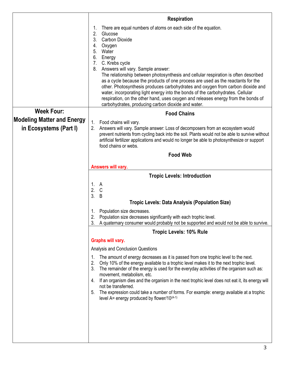|                                                             | <b>Respiration</b>                                                                                                                                                                                                                                                                                                                                                                                                                                                                                                                                                                                                                                                                                                           |
|-------------------------------------------------------------|------------------------------------------------------------------------------------------------------------------------------------------------------------------------------------------------------------------------------------------------------------------------------------------------------------------------------------------------------------------------------------------------------------------------------------------------------------------------------------------------------------------------------------------------------------------------------------------------------------------------------------------------------------------------------------------------------------------------------|
|                                                             | There are equal numbers of atoms on each side of the equation.<br>2.<br>Glucose<br><b>Carbon Dioxide</b><br>3.<br>4.<br>Oxygen<br>5.<br>Water<br>6.<br>Energy<br>C. Krebs cycle<br>7.<br>Answers will vary. Sample answer:<br>8.<br>The relationship between photosynthesis and cellular respiration is often described<br>as a cycle because the products of one process are used as the reactants for the<br>other. Photosynthesis produces carbohydrates and oxygen from carbon dioxide and<br>water, incorporating light energy into the bonds of the carbohydrates. Cellular<br>respiration, on the other hand, uses oxygen and releases energy from the bonds of<br>carbohydrates, producing carbon dioxide and water. |
| <b>Week Four:</b>                                           | <b>Food Chains</b>                                                                                                                                                                                                                                                                                                                                                                                                                                                                                                                                                                                                                                                                                                           |
| <b>Modeling Matter and Energy</b><br>in Ecosystems (Part I) | Food chains will vary.<br>1.<br>Answers will vary. Sample answer: Loss of decomposers from an ecosystem would<br>2.<br>prevent nutrients from cycling back into the soil. Plants would not be able to survive without<br>artificial fertilizer applications and would no longer be able to photosynthesize or support<br>food chains or webs.                                                                                                                                                                                                                                                                                                                                                                                |
|                                                             | <b>Food Web</b>                                                                                                                                                                                                                                                                                                                                                                                                                                                                                                                                                                                                                                                                                                              |
|                                                             | Answers will vary.                                                                                                                                                                                                                                                                                                                                                                                                                                                                                                                                                                                                                                                                                                           |
|                                                             | <b>Tropic Levels: Introduction</b>                                                                                                                                                                                                                                                                                                                                                                                                                                                                                                                                                                                                                                                                                           |
|                                                             | 1. A<br>2.<br>$\mathsf C$<br>3.<br>B<br><b>Tropic Levels: Data Analysis (Population Size)</b>                                                                                                                                                                                                                                                                                                                                                                                                                                                                                                                                                                                                                                |
|                                                             | Population size decreases.<br>1.<br>Population size decreases significantly with each trophic level.<br>A quaternary consumer would probably not be supported and would not be able to survive.                                                                                                                                                                                                                                                                                                                                                                                                                                                                                                                              |
|                                                             | <b>Tropic Levels: 10% Rule</b>                                                                                                                                                                                                                                                                                                                                                                                                                                                                                                                                                                                                                                                                                               |
|                                                             | Graphs will vary.                                                                                                                                                                                                                                                                                                                                                                                                                                                                                                                                                                                                                                                                                                            |
|                                                             | Analysis and Conclusion Questions                                                                                                                                                                                                                                                                                                                                                                                                                                                                                                                                                                                                                                                                                            |
|                                                             | The amount of energy decreases as it is passed from one trophic level to the next.<br>1.<br>2.<br>Only 10% of the energy available to a trophic level makes it to the next trophic level.<br>The remainder of the energy is used for the everyday activities of the organism such as:<br>3.<br>movement, metabolism, etc.<br>If an organism dies and the organism in the next trophic level does not eat it, its energy will<br>4.<br>not be transferred.<br>The expression could take a number of forms. For example: energy available at a trophic<br>5.<br>level $A$ = energy produced by flower/10 $(A-1)$                                                                                                               |
|                                                             |                                                                                                                                                                                                                                                                                                                                                                                                                                                                                                                                                                                                                                                                                                                              |